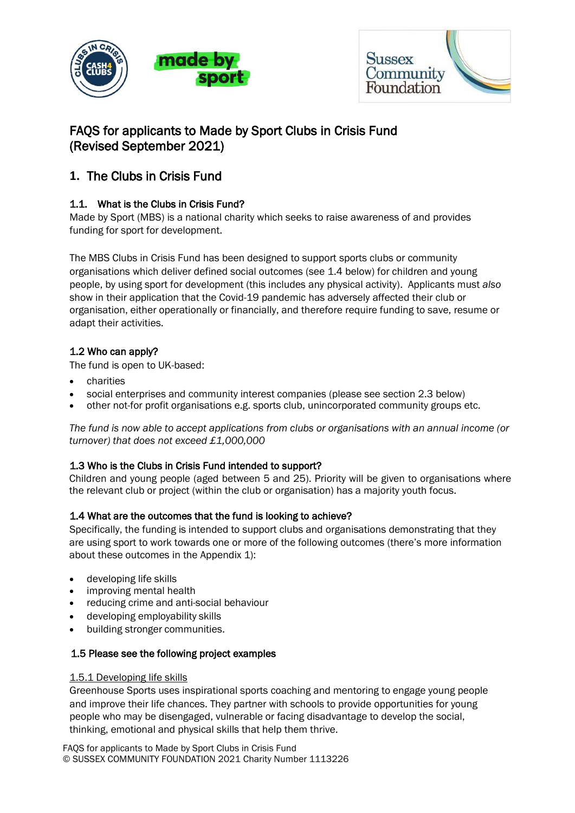



# FAQS for applicants to Made by Sport Clubs in Crisis Fund (Revised September 2021)

# **1.** The Clubs in Crisis Fund

## 1.1. What is the Clubs in Crisis Fund?

Made by Sport (MBS) is a national charity which seeks to raise awareness of and provides funding for sport for development.

The MBS Clubs in Crisis Fund has been designed to support sports clubs or community organisations which deliver defined social outcomes (see 1.4 below) for children and young people, by using sport for development (this includes any physical activity). Applicants must *also*  show in their application that the Covid-19 pandemic has adversely affected their club or organisation, either operationally or financially, and therefore require funding to save, resume or adapt their activities.

## 1.2 Who can apply?

The fund is open to UK-based:

- charities
- social enterprises and community interest companies (please see section 2.3 below)
- other not-for profit organisations e.g. sports club, unincorporated community groups etc.

*The fund is now able to accept applications from clubs or organisations with an annual income (or turnover) that does not exceed £1,000,000*

### 1.3 Who is the Clubs in Crisis Fund intended to support?

Children and young people (aged between 5 and 25). Priority will be given to organisations where the relevant club or project (within the club or organisation) has a majority youth focus.

### 1.4 What are the outcomes that the fund is looking to achieve?

Specifically, the funding is intended to support clubs and organisations demonstrating that they are using sport to work towards one or more of the following outcomes (there's more information about these outcomes in the Appendix 1):

- developing life skills
- improving mental health
- reducing crime and anti-social behaviour
- developing employability skills
- building stronger communities.

### 1.5 Please see the following project examples

### 1.5.1 Developing life skills

Greenhouse Sports uses inspirational sports coaching and mentoring to engage young people and improve their life chances. They partner with schools to provide opportunities for young people who may be disengaged, vulnerable or facing disadvantage to develop the social, thinking, emotional and physical skills that help them thrive.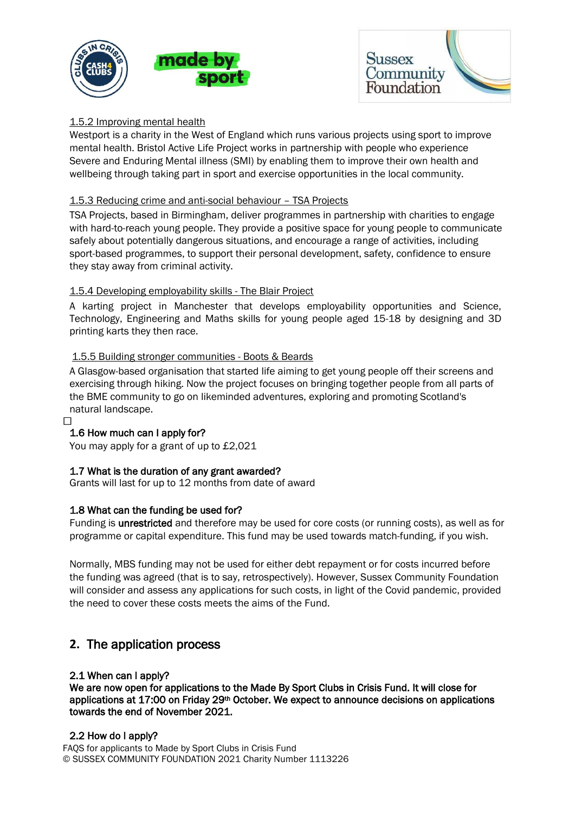



### 1.5.2 Improving mental health

Westport is a charity in the West of England which runs various projects using sport to improve mental health. Bristol Active Life Project works in partnership with people who experience Severe and Enduring Mental illness (SMI) by enabling them to improve their own health and wellbeing through taking part in sport and exercise opportunities in the local community.

### 1.5.3 Reducing crime and anti-social behaviour – TSA Projects

TSA Projects, based in Birmingham, deliver programmes in partnership with charities to engage with hard-to-reach young people. They provide a positive space for young people to communicate safely about potentially dangerous situations, and encourage a range of activities, including sport-based programmes, to support their personal development, safety, confidence to ensure they stay away from criminal activity.

### 1.5.4 Developing employability skills - The Blair Project

A karting project in Manchester that develops employability opportunities and Science, Technology, Engineering and Maths skills for young people aged 15-18 by designing and 3D printing karts they then race.

### 1.5.5 Building stronger communities - Boots & Beards

A Glasgow-based organisation that started life aiming to get young people off their screens and exercising through hiking. Now the project focuses on bringing together people from all parts of the BME community to go on likeminded adventures, exploring and promoting Scotland's natural landscape.

### 1.6 How much can I apply for?

 $\Box$ 

You may apply for a grant of up to £2,021

### 1.7 What is the duration of any grant awarded?

Grants will last for up to 12 months from date of award

### 1.8 What can the funding be used for?

Funding is unrestricted and therefore may be used for core costs (or running costs), as well as for programme or capital expenditure. This fund may be used towards match-funding, if you wish.

Normally, MBS funding may not be used for either debt repayment or for costs incurred before the funding was agreed (that is to say, retrospectively). However, Sussex Community Foundation will consider and assess any applications for such costs, in light of the Covid pandemic, provided the need to cover these costs meets the aims of the Fund.

## **2.** The application process

### 2.1 When can I apply?

We are now open for applications to the Made By Sport Clubs in Crisis Fund. It will close for applications at 17:00 on Friday 29<sup>th</sup> October. We expect to announce decisions on applications towards the end of November 2021.

### 2.2 How do I apply?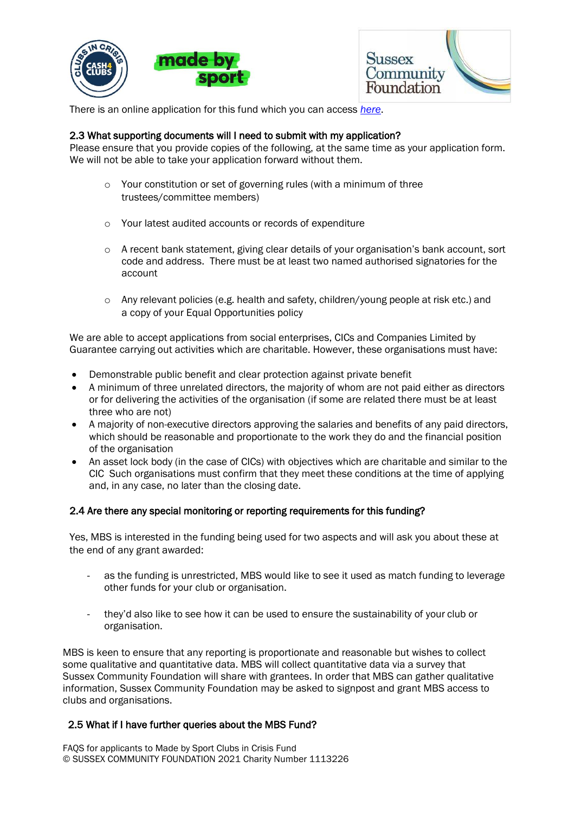





There is an online application for this fund which you can access *[here](https://ukcf.secure.force.com/forms/Sussex/MadeBySports)*.

### 2.3 What supporting documents will I need to submit with my application?

Please ensure that you provide copies of the following, at the same time as your application form. We will not be able to take your application forward without them.

- o Your constitution or set of governing rules (with a minimum of three trustees/committee members)
- o Your latest audited accounts or records of expenditure
- $\circ$  A recent bank statement, giving clear details of your organisation's bank account, sort code and address. There must be at least two named authorised signatories for the account
- o Any relevant policies (e.g. health and safety, children/young people at risk etc.) and a copy of your Equal Opportunities policy

We are able to accept applications from social enterprises, CICs and Companies Limited by Guarantee carrying out activities which are charitable. However, these organisations must have:

- Demonstrable public benefit and clear protection against private benefit
- A minimum of three unrelated directors, the majority of whom are not paid either as directors or for delivering the activities of the organisation (if some are related there must be at least three who are not)
- A majority of non-executive directors approving the salaries and benefits of any paid directors, which should be reasonable and proportionate to the work they do and the financial position of the organisation
- An asset lock body (in the case of CICs) with objectives which are charitable and similar to the CIC Such organisations must confirm that they meet these conditions at the time of applying and, in any case, no later than the closing date.

#### 2.4 Are there any special monitoring or reporting requirements for this funding?

Yes, MBS is interested in the funding being used for two aspects and will ask you about these at the end of any grant awarded:

- as the funding is unrestricted, MBS would like to see it used as match funding to leverage other funds for your club or organisation.
- they'd also like to see how it can be used to ensure the sustainability of your club or organisation.

MBS is keen to ensure that any reporting is proportionate and reasonable but wishes to collect some qualitative and quantitative data. MBS will collect quantitative data via a survey that Sussex Community Foundation will share with grantees. In order that MBS can gather qualitative information, Sussex Community Foundation may be asked to signpost and grant MBS access to clubs and organisations.

#### 2.5 What if I have further queries about the MBS Fund?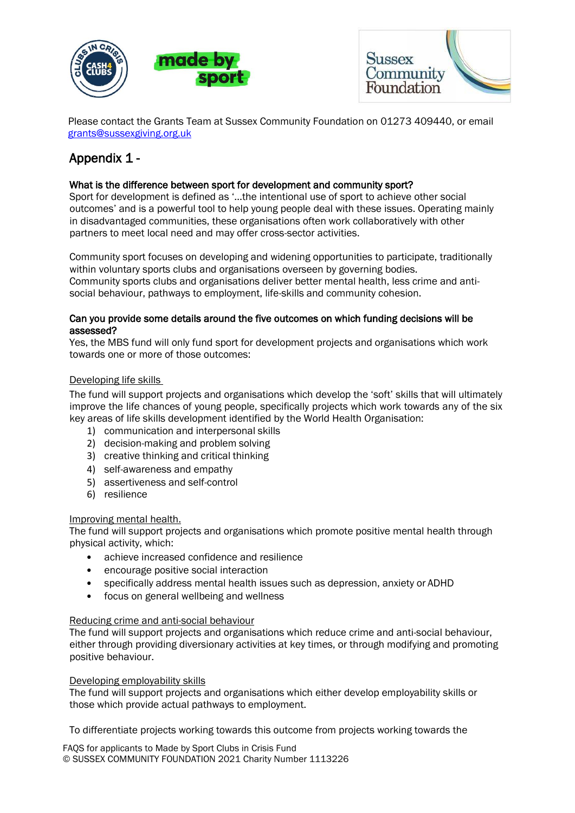



 Please contact the Grants Team at Sussex Community Foundation on 01273 409440, or email [grants@sussexgiving.org.uk](mailto:grants@sussexgiving.org.uk)

# Appendix 1 -

### What is the difference between sport for development and community sport?

Sport for development is defined as '…the intentional use of sport to achieve other social outcomes' and is a powerful tool to help young people deal with these issues. Operating mainly in disadvantaged communities, these organisations often work collaboratively with other partners to meet local need and may offer cross-sector activities.

Community sport focuses on developing and widening opportunities to participate, traditionally within voluntary sports clubs and organisations overseen by governing bodies. Community sports clubs and organisations deliver better mental health, less crime and antisocial behaviour, pathways to employment, life-skills and community cohesion.

### Can you provide some details around the five outcomes on which funding decisions will be assessed?

Yes, the MBS fund will only fund sport for development projects and organisations which work towards one or more of those outcomes:

### Developing life skills

The fund will support projects and organisations which develop the 'soft' skills that will ultimately improve the life chances of young people, specifically projects which work towards any of the six key areas of life skills development identified by the World Health Organisation:

- 1) communication and interpersonal skills
- 2) decision-making and problem solving
- 3) creative thinking and critical thinking
- 4) self-awareness and empathy
- 5) assertiveness and self-control
- 6) resilience

### Improving mental health.

The fund will support projects and organisations which promote positive mental health through physical activity, which:

- achieve increased confidence and resilience
- encourage positive social interaction
- specifically address mental health issues such as depression, anxiety or ADHD
- focus on general wellbeing and wellness

### Reducing crime and anti-social behaviour

The fund will support projects and organisations which reduce crime and anti-social behaviour, either through providing diversionary activities at key times, or through modifying and promoting positive behaviour.

### Developing employability skills

The fund will support projects and organisations which either develop employability skills or those which provide actual pathways to employment.

To differentiate projects working towards this outcome from projects working towards the